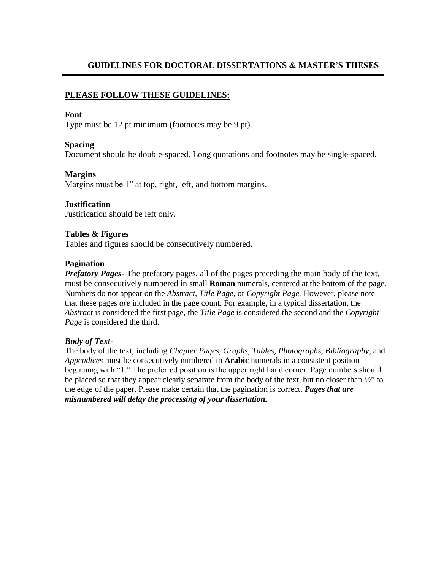# **GUIDELINES FOR DOCTORAL DISSERTATIONS & MASTER'S THESES**

## **PLEASE FOLLOW THESE GUIDELINES:**

#### **Font**

Type must be 12 pt minimum (footnotes may be 9 pt).

#### **Spacing**

Document should be double-spaced. Long quotations and footnotes may be single-spaced.

### **Margins**

Margins must be 1" at top, right, left, and bottom margins.

#### **Justification**

Justification should be left only.

### **Tables & Figures**

Tables and figures should be consecutively numbered.

#### **Pagination**

*Prefatory Pages*- The prefatory pages, all of the pages preceding the main body of the text, must be consecutively numbered in small **Roman** numerals, centered at the bottom of the page. Numbers do not appear on the *Abstract, Title Page,* or *Copyright Page.* However, please note that these pages *are* included in the page count. For example, in a typical dissertation, the *Abstract* is considered the first page, the *Title Page* is considered the second and the *Copyright Page* is considered the third.

#### *Body of Text-*

The body of the text, including *Chapter Pages, Graphs, Tables, Photographs, Bibliography,* and *Appendices* must be consecutively numbered in **Arabic** numerals in a consistent position beginning with "1." The preferred position is the upper right hand corner. Page numbers should be placed so that they appear clearly separate from the body of the text, but no closer than  $\frac{1}{2}$  to the edge of the paper. Please make certain that the pagination is correct. *Pages that are misnumbered will delay the processing of your dissertation.*